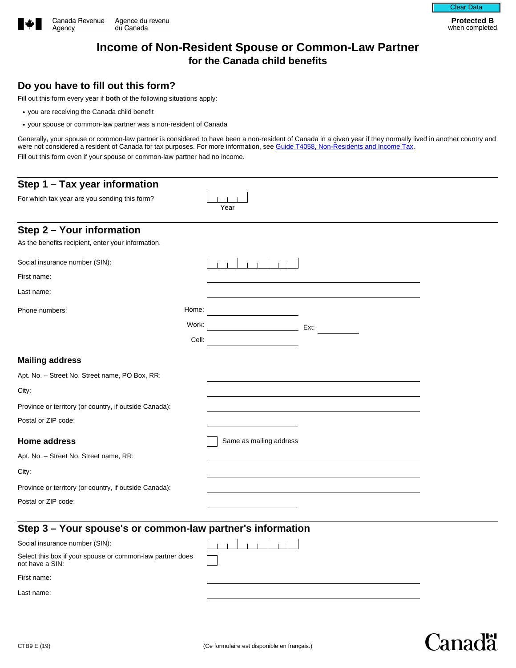

Canadä

# **Income of Non-Resident Spouse or Common-Law Partner for the Canada child benefits**

## **Do you have to fill out this form?**

Fill out this form every year if **both** of the following situations apply:

- you are receiving the Canada child benefit
- your spouse or common-law partner was a non-resident of Canada

Generally, your spouse or common-law partner is considered to have been a non-resident of Canada in a given year if they normally lived in another country and were not considered a resident of Canada for tax purposes. For more information, see [Guide T4058, Non-Residents and Income Tax.](https://www.canada.ca/en/revenue-agency/services/forms-publications/publications/t4058.html) Fill out this form even if your spouse or common-law partner had no income.

| Step 1 - Tax year information                                                |       |                          |
|------------------------------------------------------------------------------|-------|--------------------------|
| For which tax year are you sending this form?                                |       |                          |
|                                                                              |       | Year                     |
| Step 2 - Your information                                                    |       |                          |
| As the benefits recipient, enter your information.                           |       |                          |
| Social insurance number (SIN):                                               |       |                          |
| First name:                                                                  |       |                          |
| Last name:                                                                   |       |                          |
| Phone numbers:                                                               | Home: |                          |
|                                                                              | Work: | Ext:                     |
|                                                                              | Cell: |                          |
| <b>Mailing address</b>                                                       |       |                          |
| Apt. No. - Street No. Street name, PO Box, RR:                               |       |                          |
| City:                                                                        |       |                          |
| Province or territory (or country, if outside Canada):                       |       | $\vert \mathbf{v} \vert$ |
| Postal or ZIP code:                                                          |       |                          |
| <b>Home address</b>                                                          |       | Same as mailing address  |
| Apt. No. - Street No. Street name, RR:                                       |       |                          |
| City:                                                                        |       |                          |
| Province or territory (or country, if outside Canada):                       |       | $\vert \bullet \vert$    |
| Postal or ZIP code:                                                          |       |                          |
| Step 3 - Your spouse's or common-law partner's information                   |       |                          |
| Social insurance number (SIN):                                               |       |                          |
| Select this box if your spouse or common-law partner does<br>not have a SIN: |       |                          |
| First name:                                                                  |       |                          |
| l ast name:                                                                  |       |                          |